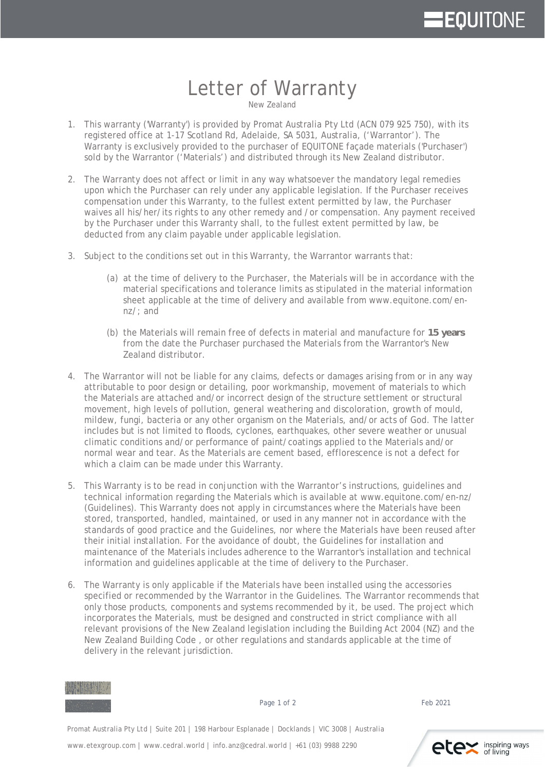## **EQUITONE**

## Letter of Warranty

New Zealand

- 1. This warranty ('Warranty') is provided by Promat Australia Pty Ltd (ACN 079 925 750), with its registered office at 1-17 Scotland Rd, Adelaide, SA 5031, Australia, ('Warrantor'). The Warranty is exclusively provided to the purchaser of EQUITONE façade materials ('Purchaser') sold by the Warrantor ('Materials') and distributed through its New Zealand distributor.
- 2. The Warranty does not affect or limit in any way whatsoever the mandatory legal remedies upon which the Purchaser can rely under any applicable legislation. If the Purchaser receives compensation under this Warranty, to the fullest extent permitted by law, the Purchaser waives all his/her/its rights to any other remedy and /or compensation. Any payment received by the Purchaser under this Warranty shall, to the fullest extent permitted by law, be deducted from any claim payable under applicable legislation.
- 3. Subject to the conditions set out in this Warranty, the Warrantor warrants that:
	- (a) at the time of delivery to the Purchaser, the Materials will be in accordance with the material specifications and tolerance limits as stipulated in the material information sheet applicable at the time of delivery and available from [www.equitone.com/en](http://www.equitone.com/en-nz/)[nz/](http://www.equitone.com/en-nz/); and
	- (b) the Materials will remain free of defects in material and manufacture for **15 years** from the date the Purchaser purchased the Materials from the Warrantor's New Zealand distributor.
- 4. The Warrantor will not be liable for any claims, defects or damages arising from or in any way attributable to poor design or detailing, poor workmanship, movement of materials to which the Materials are attached and/or incorrect design of the structure settlement or structural movement, high levels of pollution, general weathering and discoloration, growth of mould, mildew, fungi, bacteria or any other organism on the Materials, and/or acts of God. The latter includes but is not limited to floods, cyclones, earthquakes, other severe weather or unusual climatic conditions and/or performance of paint/coatings applied to the Materials and/or normal wear and tear. As the Materials are cement based, efflorescence is not a defect for which a claim can be made under this Warranty.
- 5. This Warranty is to be read in conjunction with the Warrantor's instructions, guidelines and technical information regarding the Materials which is available at [www.equitone.com/en-nz/](http://www.equitone.com/en-nz/) (Guidelines). This Warranty does not apply in circumstances where the Materials have been stored, transported, handled, maintained, or used in any manner not in accordance with the standards of good practice and the Guidelines, nor where the Materials have been reused after their initial installation. For the avoidance of doubt, the Guidelines for installation and maintenance of the Materials includes adherence to the Warrantor's installation and technical information and guidelines applicable at the time of delivery to the Purchaser.
- 6. The Warranty is only applicable if the Materials have been installed using the accessories specified or recommended by the Warrantor in the Guidelines. The Warrantor recommends that only those products, components and systems recommended by it, be used. The project which incorporates the Materials, must be designed and constructed in strict compliance with all relevant provisions of the New Zealand legislation including the Building Act 2004 (NZ) and the New Zealand Building Code , or other regulations and standards applicable at the time of delivery in the relevant jurisdiction.



Page 1 of 2 Feb 2021

Promat Australia Pty Ltd | Suite 201 | 198 Harbour Esplanade | Docklands | VIC 3008 | Australia Promat Australia Pty Ltd | Suite 201 | 198 Harbour Esplanade | Docklands | VIC 3008 | Australia